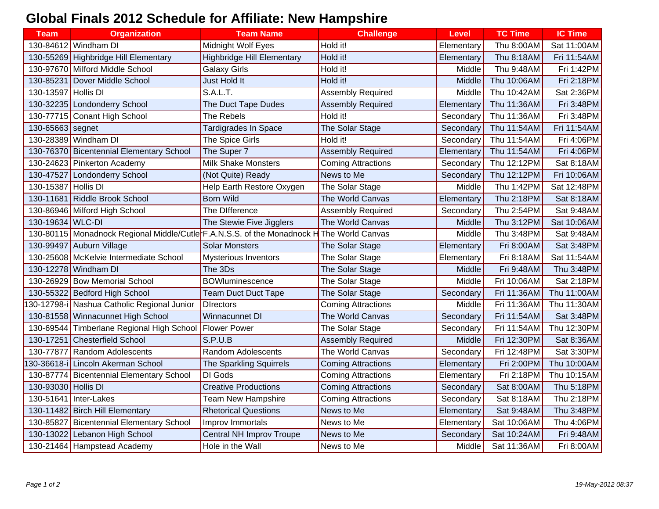## **Global Finals 2012 Schedule for Affiliate: New Hampshire**

| <b>Team</b>         | <b>Organization</b>                                                       | <b>Team Name</b>                  | <b>Challenge</b>          | <b>Level</b> | <b>TC Time</b> | <b>IC Time</b> |
|---------------------|---------------------------------------------------------------------------|-----------------------------------|---------------------------|--------------|----------------|----------------|
|                     | 130-84612 Windham DI                                                      | <b>Midnight Wolf Eyes</b>         | Hold it!                  | Elementary   | Thu 8:00AM     | Sat 11:00AM    |
|                     | 130-55269 Highbridge Hill Elementary                                      | <b>Highbridge Hill Elementary</b> | Hold it!                  | Elementary   | Thu 8:18AM     | Fri 11:54AM    |
|                     | 130-97670 Milford Middle School                                           | <b>Galaxy Girls</b>               | Hold it!                  | Middle       | Thu 9:48AM     | Fri 1:42PM     |
|                     | 130-85231 Dover Middle School                                             | Just Hold It                      | Hold it!                  | Middle       | Thu 10:06AM    | Fri 2:18PM     |
| 130-13597 Hollis DI |                                                                           | <b>S.A.L.T.</b>                   | <b>Assembly Required</b>  | Middle       | Thu 10:42AM    | Sat 2:36PM     |
|                     | 130-32235 Londonderry School                                              | The Duct Tape Dudes               | <b>Assembly Required</b>  | Elementary   | Thu 11:36AM    | Fri 3:48PM     |
|                     | 130-77715 Conant High School                                              | The Rebels                        | Hold it!                  | Secondary    | Thu 11:36AM    | Fri 3:48PM     |
| 130-65663 segnet    |                                                                           | <b>Tardigrades In Space</b>       | The Solar Stage           | Secondary    | Thu 11:54AM    | Fri 11:54AM    |
|                     | 130-28389 Windham DI                                                      | The Spice Girls                   | Hold it!                  | Secondary    | Thu 11:54AM    | Fri 4:06PM     |
|                     | 130-76370 Bicentennial Elementary School                                  | The Super 7                       | <b>Assembly Required</b>  | Elementary   | Thu 11:54AM    | Fri 4:06PM     |
|                     | 130-24623 Pinkerton Academy                                               | <b>Milk Shake Monsters</b>        | <b>Coming Attractions</b> | Secondary    | Thu 12:12PM    | Sat 8:18AM     |
|                     | 130-47527 Londonderry School                                              | (Not Quite) Ready                 | News to Me                | Secondary    | Thu 12:12PM    | Fri 10:06AM    |
| 130-15387 Hollis DI |                                                                           | Help Earth Restore Oxygen         | The Solar Stage           | Middle       | Thu 1:42PM     | Sat 12:48PM    |
|                     | 130-11681 Riddle Brook School                                             | <b>Born Wild</b>                  | The World Canvas          | Elementary   | Thu 2:18PM     | Sat 8:18AM     |
|                     | 130-86946 Milford High School                                             | The Difference                    | <b>Assembly Required</b>  | Secondary    | Thu 2:54PM     | Sat 9:48AM     |
| 130-19634 WLC-DI    |                                                                           | The Stewie Five Jigglers          | The World Canvas          | Middle       | Thu 3:12PM     | Sat 10:06AM    |
|                     | 130-80115   Monadnock Regional Middle/Cutle F.A.N.S.S. of the Monadnock H |                                   | The World Canvas          | Middle       | Thu 3:48PM     | Sat 9:48AM     |
|                     | 130-99497 Auburn Village                                                  | <b>Solar Monsters</b>             | The Solar Stage           | Elementary   | Fri 8:00AM     | Sat 3:48PM     |
|                     | 130-25608 McKelvie Intermediate School                                    | <b>Mysterious Inventors</b>       | The Solar Stage           | Elementary   | Fri 8:18AM     | Sat 11:54AM    |
|                     | 130-12278 Windham DI                                                      | The 3Ds                           | The Solar Stage           | Middle       | Fri 9:48AM     | Thu 3:48PM     |
|                     | 130-26929 Bow Memorial School                                             | <b>BOWluminescence</b>            | The Solar Stage           | Middle       | Fri 10:06AM    | Sat 2:18PM     |
|                     | 130-55322 Bedford High School                                             | <b>Team Duct Duct Tape</b>        | The Solar Stage           | Secondary    | Fri 11:36AM    | Thu 11:00AM    |
|                     | 30-12798-i Nashua Catholic Regional Junior                                | <b>Directors</b>                  | <b>Coming Attractions</b> | Middle       | Fri 11:36AM    | Thu 11:30AM    |
|                     | 130-81558 Winnacunnet High School                                         | Winnacunnet DI                    | The World Canvas          | Secondary    | Fri 11:54AM    | Sat 3:48PM     |
|                     | 130-69544 Timberlane Regional High School                                 | Flower Power                      | The Solar Stage           | Secondary    | Fri 11:54AM    | Thu 12:30PM    |
|                     | 130-17251 Chesterfield School                                             | S.P.U.B                           | <b>Assembly Required</b>  | Middle       | Fri 12:30PM    | Sat 8:36AM     |
|                     | 130-77877 Random Adolescents                                              | Random Adolescents                | The World Canvas          | Secondary    | Fri 12:48PM    | Sat 3:30PM     |
|                     | 30-36618-i Lincoln Akerman School                                         | The Sparkling Squirrels           | <b>Coming Attractions</b> | Elementary   | Fri 2:00PM     | Thu 10:00AM    |
|                     | 130-87774 Bicentennial Elementary School                                  | DI Gods                           | <b>Coming Attractions</b> | Elementary   | Fri 2:18PM     | Thu 10:15AM    |
| 130-93030 Hollis DI |                                                                           | <b>Creative Productions</b>       | <b>Coming Attractions</b> | Secondary    | Sat 8:00AM     | Thu 5:18PM     |
|                     | 130-51641 Inter-Lakes                                                     | Team New Hampshire                | <b>Coming Attractions</b> | Secondary    | Sat 8:18AM     | Thu 2:18PM     |
|                     | 130-11482 Birch Hill Elementary                                           | <b>Rhetorical Questions</b>       | News to Me                | Elementary   | Sat 9:48AM     | Thu 3:48PM     |
|                     | 130-85827 Bicentennial Elementary School                                  | Improv Immortals                  | News to Me                | Elementary   | Sat 10:06AM    | Thu 4:06PM     |
|                     | 130-13022 Lebanon High School                                             | Central NH Improv Troupe          | News to Me                | Secondary    | Sat 10:24AM    | Fri 9:48AM     |
|                     | 130-21464 Hampstead Academy                                               | Hole in the Wall                  | News to Me                | Middle       | Sat 11:36AM    | Fri 8:00AM     |